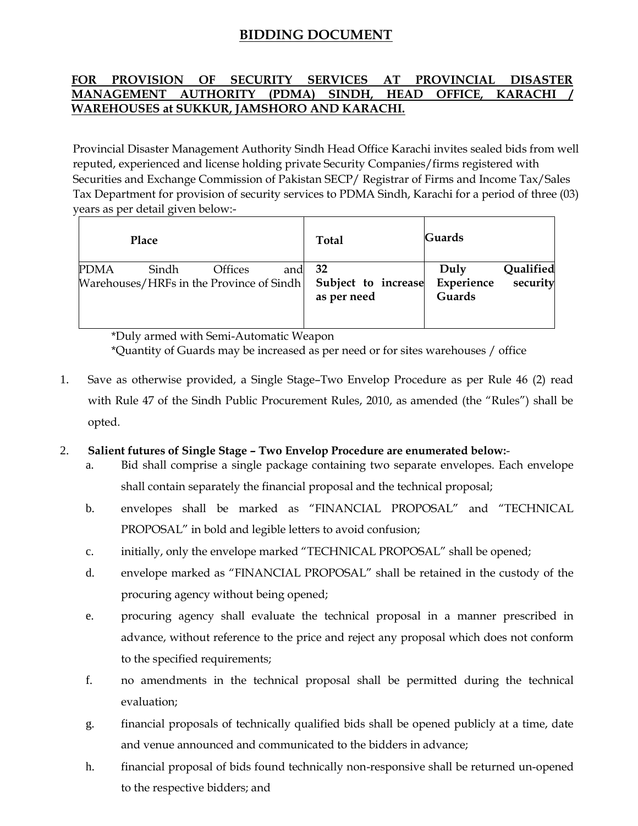# **BIDDING DOCUMENT**

# **FOR PROVISION OF SECURITY SERVICES AT PROVINCIAL DISASTER MANAGEMENT AUTHORITY (PDMA) SINDH, HEAD OFFICE, KARACHI WAREHOUSES at SUKKUR, JAMSHORO AND KARACHI.**

Provincial Disaster Management Authority Sindh Head Office Karachi invites sealed bids from well reputed, experienced and license holding private Security Companies/firms registered with Securities and Exchange Commission of Pakistan SECP/ Registrar of Firms and Income Tax/Sales Tax Department for provision of security services to PDMA Sindh, Karachi for a period of three (03) years as per detail given below:-

| Place                                                                                        | <b>Total</b>                       | <b>Guards</b>                                         |
|----------------------------------------------------------------------------------------------|------------------------------------|-------------------------------------------------------|
| <b>PDMA</b><br>and 32<br>Sindh<br><b>Offices</b><br>Warehouses/HRFs in the Province of Sindh | Subject to increase<br>as per need | Qualified<br>Duly<br>security<br>Experience<br>Guards |

\*Duly armed with Semi-Automatic Weapon \*Quantity of Guards may be increased as per need or for sites warehouses / office

1. Save as otherwise provided, a Single Stage–Two Envelop Procedure as per Rule 46 (2) read with Rule 47 of the Sindh Public Procurement Rules, 2010, as amended (the "Rules") shall be opted.

## 2. **Salient futures of Single Stage – Two Envelop Procedure are enumerated below:**-

- a. Bid shall comprise a single package containing two separate envelopes. Each envelope shall contain separately the financial proposal and the technical proposal;
- b. envelopes shall be marked as "FINANCIAL PROPOSAL" and "TECHNICAL PROPOSAL" in bold and legible letters to avoid confusion;
- c. initially, only the envelope marked "TECHNICAL PROPOSAL" shall be opened;
- d. envelope marked as "FINANCIAL PROPOSAL" shall be retained in the custody of the procuring agency without being opened;
- e. procuring agency shall evaluate the technical proposal in a manner prescribed in advance, without reference to the price and reject any proposal which does not conform to the specified requirements;
- f. no amendments in the technical proposal shall be permitted during the technical evaluation;
- g. financial proposals of technically qualified bids shall be opened publicly at a time, date and venue announced and communicated to the bidders in advance;
- h. financial proposal of bids found technically non-responsive shall be returned un-opened to the respective bidders; and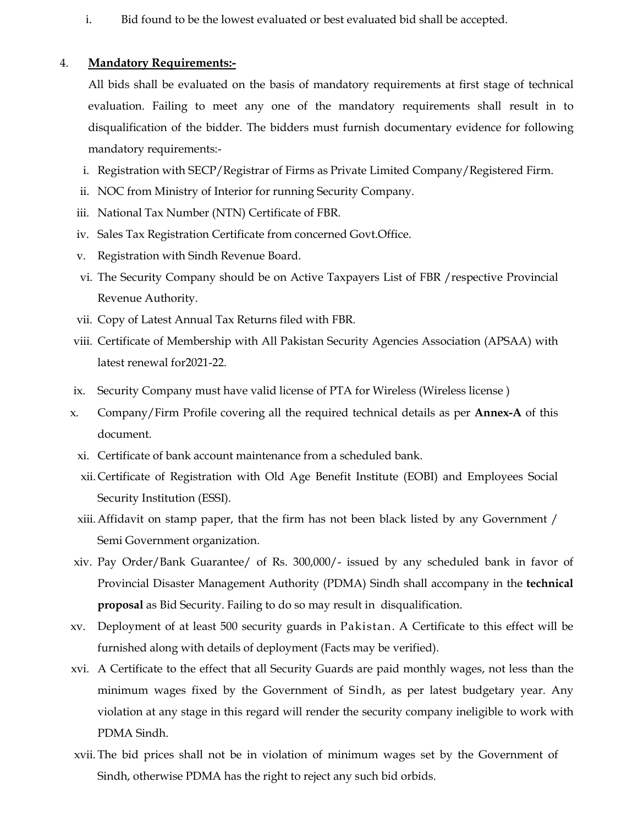i. Bid found to be the lowest evaluated or best evaluated bid shall be accepted.

#### 4. **Mandatory Requirements:-**

All bids shall be evaluated on the basis of mandatory requirements at first stage of technical evaluation. Failing to meet any one of the mandatory requirements shall result in to disqualification of the bidder. The bidders must furnish documentary evidence for following mandatory requirements:-

- i. Registration with SECP/Registrar of Firms as Private Limited Company/Registered Firm.
- ii. NOC from Ministry of Interior for running Security Company.
- iii. National Tax Number (NTN) Certificate of FBR.
- iv. Sales Tax Registration Certificate from concerned Govt.Office.
- v. Registration with Sindh Revenue Board.
- vi. The Security Company should be on Active Taxpayers List of FBR /respective Provincial Revenue Authority.
- vii. Copy of Latest Annual Tax Returns filed with FBR.
- viii. Certificate of Membership with All Pakistan Security Agencies Association (APSAA) with latest renewal for2021-22.
- ix. Security Company must have valid license of PTA for Wireless (Wireless license )
- x. Company/Firm Profile covering all the required technical details as per **Annex-A** of this document.
- xi. Certificate of bank account maintenance from a scheduled bank.
- xii.Certificate of Registration with Old Age Benefit Institute (EOBI) and Employees Social Security Institution (ESSI).
- xiii.Affidavit on stamp paper, that the firm has not been black listed by any Government / Semi Government organization.
- xiv. Pay Order/Bank Guarantee/ of Rs. 300,000/- issued by any scheduled bank in favor of Provincial Disaster Management Authority (PDMA) Sindh shall accompany in the **technical proposal** as Bid Security. Failing to do so may result in disqualification.
- xv. Deployment of at least 500 security guards in Pakistan. A Certificate to this effect will be furnished along with details of deployment (Facts may be verified).
- xvi. A Certificate to the effect that all Security Guards are paid monthly wages, not less than the minimum wages fixed by the Government of Sindh, as per latest budgetary year. Any violation at any stage in this regard will render the security company ineligible to work with PDMA Sindh.
- xvii. The bid prices shall not be in violation of minimum wages set by the Government of Sindh, otherwise PDMA has the right to reject any such bid orbids.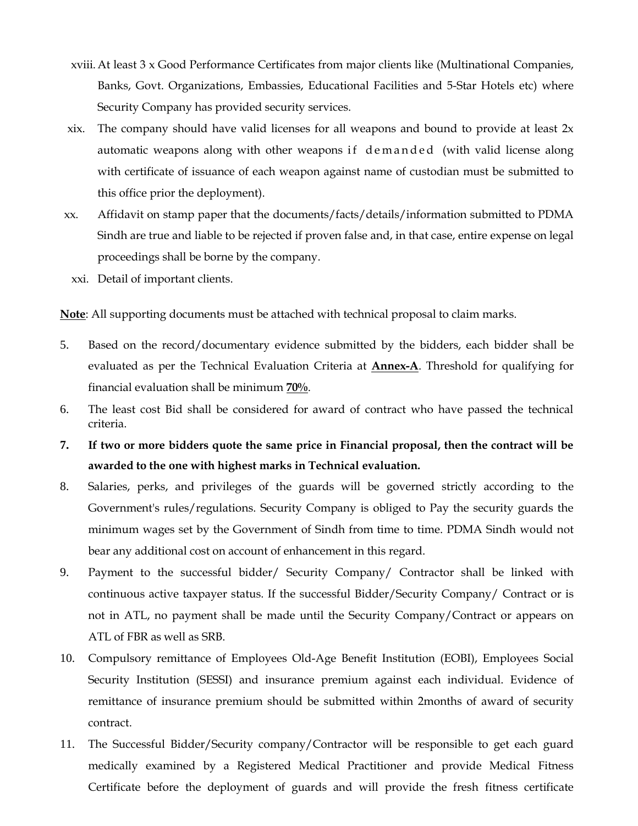- xviii.At least 3 x Good Performance Certificates from major clients like (Multinational Companies, Banks, Govt. Organizations, Embassies, Educational Facilities and 5-Star Hotels etc) where Security Company has provided security services.
- xix. The company should have valid licenses for all weapons and bound to provide at least  $2x$ automatic weapons along with other weapons if demanded (with valid license along with certificate of issuance of each weapon against name of custodian must be submitted to this office prior the deployment).
- xx. Affidavit on stamp paper that the documents/facts/details/information submitted to PDMA Sindh are true and liable to be rejected if proven false and, in that case, entire expense on legal proceedings shall be borne by the company.
	- xxi. Detail of important clients.

**Note**: All supporting documents must be attached with technical proposal to claim marks.

- 5. Based on the record/documentary evidence submitted by the bidders, each bidder shall be evaluated as per the Technical Evaluation Criteria at **Annex-A**. Threshold for qualifying for financial evaluation shall be minimum **70%**.
- 6. The least cost Bid shall be considered for award of contract who have passed the technical criteria.
- **7. If two or more bidders quote the same price in Financial proposal, then the contract will be awarded to the one with highest marks in Technical evaluation.**
- 8. Salaries, perks, and privileges of the guards will be governed strictly according to the Government's rules/regulations. Security Company is obliged to Pay the security guards the minimum wages set by the Government of Sindh from time to time. PDMA Sindh would not bear any additional cost on account of enhancement in this regard.
- 9. Payment to the successful bidder/ Security Company/ Contractor shall be linked with continuous active taxpayer status. If the successful Bidder/Security Company/ Contract or is not in ATL, no payment shall be made until the Security Company/Contract or appears on ATL of FBR as well as SRB.
- 10. Compulsory remittance of Employees Old-Age Benefit Institution (EOBI), Employees Social Security Institution (SESSI) and insurance premium against each individual. Evidence of remittance of insurance premium should be submitted within 2months of award of security contract.
- 11. The Successful Bidder/Security company/Contractor will be responsible to get each guard medically examined by a Registered Medical Practitioner and provide Medical Fitness Certificate before the deployment of guards and will provide the fresh fitness certificate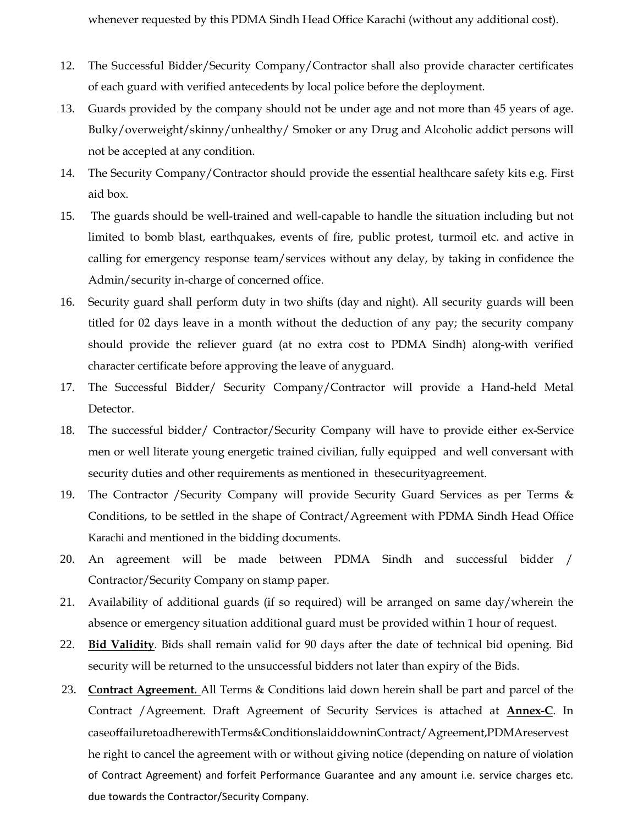whenever requested by this PDMA Sindh Head Office Karachi (without any additional cost).

- 12. The Successful Bidder/Security Company/Contractor shall also provide character certificates of each guard with verified antecedents by local police before the deployment.
- 13. Guards provided by the company should not be under age and not more than 45 years of age. Bulky/overweight/skinny/unhealthy/ Smoker or any Drug and Alcoholic addict persons will not be accepted at any condition.
- 14. The Security Company/Contractor should provide the essential healthcare safety kits e.g. First aid box.
- 15. The guards should be well-trained and well-capable to handle the situation including but not limited to bomb blast, earthquakes, events of fire, public protest, turmoil etc. and active in calling for emergency response team/services without any delay, by taking in confidence the Admin/security in-charge of concerned office.
- 16. Security guard shall perform duty in two shifts (day and night). All security guards will been titled for 02 days leave in a month without the deduction of any pay; the security company should provide the reliever guard (at no extra cost to PDMA Sindh) along-with verified character certificate before approving the leave of anyguard.
- 17. The Successful Bidder/ Security Company/Contractor will provide a Hand-held Metal Detector.
- 18. The successful bidder/ Contractor/Security Company will have to provide either ex-Service men or well literate young energetic trained civilian, fully equipped and well conversant with security duties and other requirements as mentioned in thesecurityagreement.
- 19. The Contractor /Security Company will provide Security Guard Services as per Terms & Conditions, to be settled in the shape of Contract/Agreement with PDMA Sindh Head Office Karachi and mentioned in the bidding documents.
- 20. An agreement will be made between PDMA Sindh and successful bidder / Contractor/Security Company on stamp paper.
- 21. Availability of additional guards (if so required) will be arranged on same day/wherein the absence or emergency situation additional guard must be provided within 1 hour of request.
- 22. **Bid Validity**. Bids shall remain valid for 90 days after the date of technical bid opening. Bid security will be returned to the unsuccessful bidders not later than expiry of the Bids.
- 23. **Contract Agreement.** All Terms & Conditions laid down herein shall be part and parcel of the Contract /Agreement. Draft Agreement of Security Services is attached at **Annex-C**. In caseoffailuretoadherewithTerms&ConditionslaiddowninContract/Agreement,PDMAreservest he right to cancel the agreement with or without giving notice (depending on nature of violation of Contract Agreement) and forfeit Performance Guarantee and any amount i.e. service charges etc. due towards the Contractor/Security Company.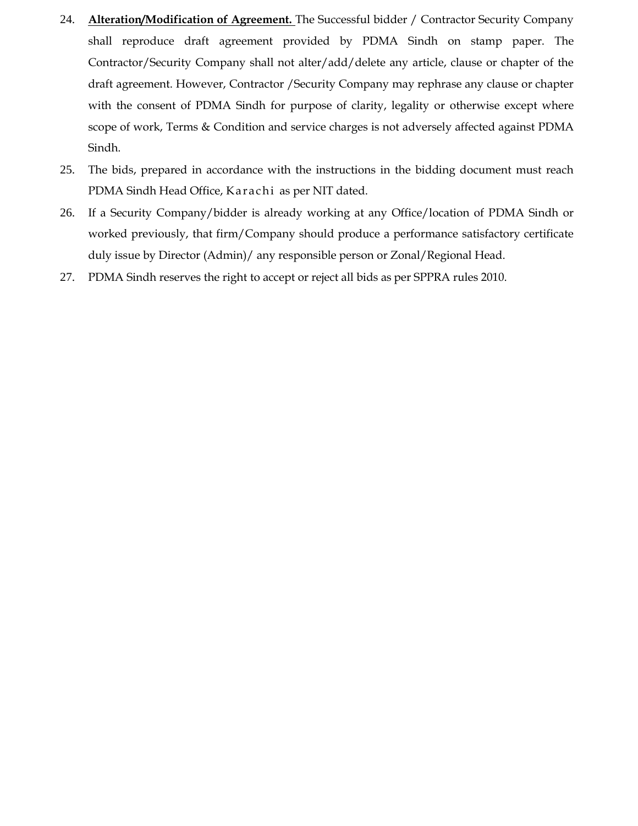- 24. **Alteration/Modification of Agreement.** The Successful bidder / Contractor Security Company shall reproduce draft agreement provided by PDMA Sindh on stamp paper. The Contractor/Security Company shall not alter/add/delete any article, clause or chapter of the draft agreement. However, Contractor /Security Company may rephrase any clause or chapter with the consent of PDMA Sindh for purpose of clarity, legality or otherwise except where scope of work, Terms & Condition and service charges is not adversely affected against PDMA Sindh.
- 25. The bids, prepared in accordance with the instructions in the bidding document must reach PDMA Sindh Head Office, Karachi as per NIT dated.
- 26. If a Security Company/bidder is already working at any Office/location of PDMA Sindh or worked previously, that firm/Company should produce a performance satisfactory certificate duly issue by Director (Admin)/ any responsible person or Zonal/Regional Head.
- 27. PDMA Sindh reserves the right to accept or reject all bids as per SPPRA rules 2010.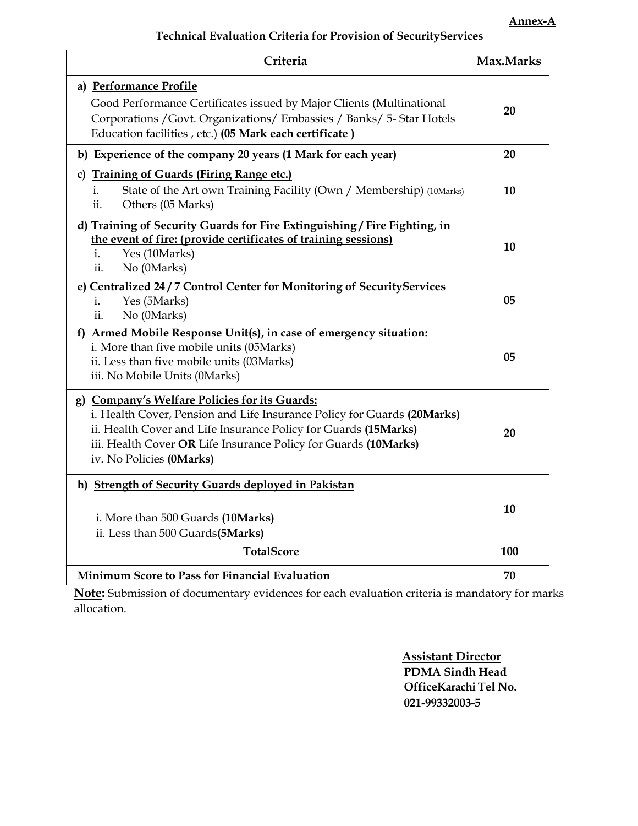| Criteria                                                                                                                                                                                                                                                                                   | Max.Marks |
|--------------------------------------------------------------------------------------------------------------------------------------------------------------------------------------------------------------------------------------------------------------------------------------------|-----------|
| a) Performance Profile<br>Good Performance Certificates issued by Major Clients (Multinational<br>Corporations / Govt. Organizations/ Embassies / Banks/ 5- Star Hotels<br>Education facilities, etc.) (05 Mark each certificate)                                                          | 20        |
| b) Experience of the company 20 years (1 Mark for each year)                                                                                                                                                                                                                               | 20        |
| c) Training of Guards (Firing Range etc.)<br>State of the Art own Training Facility (Own / Membership) (10Marks)<br>i.<br>Others (05 Marks)<br>ii.                                                                                                                                         | 10        |
| d) Training of Security Guards for Fire Extinguishing / Fire Fighting, in<br>the event of fire: (provide certificates of training sessions)<br>Yes (10Marks)<br>i.<br>ii.<br>No (0Marks)                                                                                                   | 10        |
| e) Centralized 24 / 7 Control Center for Monitoring of SecurityServices<br>Yes (5Marks)<br>i.<br>ii.<br>No (0Marks)                                                                                                                                                                        | 05        |
| f) Armed Mobile Response Unit(s), in case of emergency situation:<br>i. More than five mobile units (05Marks)<br>ii. Less than five mobile units (03Marks)<br>iii. No Mobile Units (0Marks)                                                                                                | 05        |
| g) Company's Welfare Policies for its Guards:<br>i. Health Cover, Pension and Life Insurance Policy for Guards (20Marks)<br>ii. Health Cover and Life Insurance Policy for Guards (15Marks)<br>iii. Health Cover OR Life Insurance Policy for Guards (10Marks)<br>iv. No Policies (0Marks) | 20        |
| h) Strength of Security Guards deployed in Pakistan<br>i. More than 500 Guards (10Marks)<br>ii. Less than 500 Guards(5Marks)                                                                                                                                                               | 10        |
| <b>TotalScore</b>                                                                                                                                                                                                                                                                          | 100       |
| <b>Minimum Score to Pass for Financial Evaluation</b>                                                                                                                                                                                                                                      | 70        |

**Note:** Submission of documentary evidences for each evaluation criteria is mandatory for marks allocation.

> **Assistant Director PDMA Sindh Head OfficeKarachi Tel No. 021-99332003-5**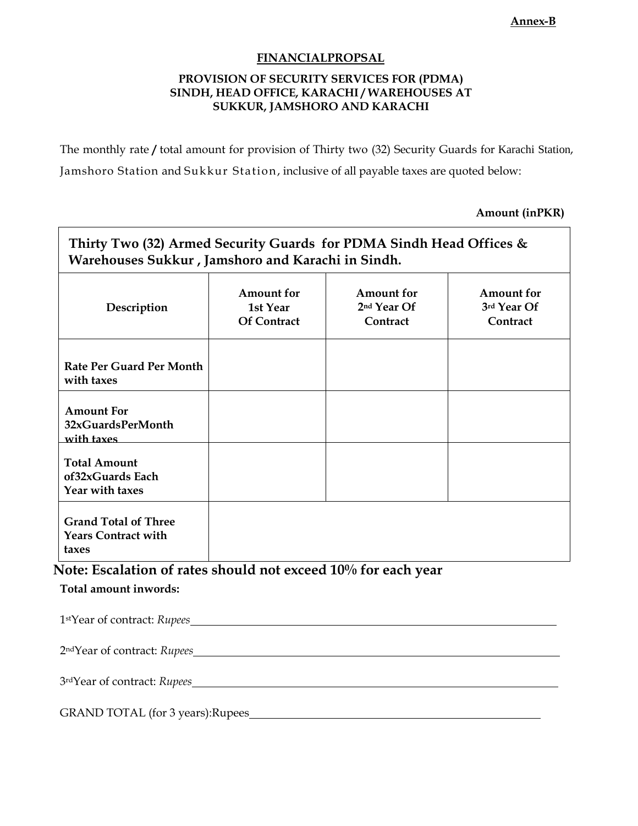#### **Annex-B**

### **FINANCIALPROPSAL**

### **PROVISION OF SECURITY SERVICES FOR (PDMA) SINDH, HEAD OFFICE, KARACHI / WAREHOUSES AT SUKKUR, JAMSHORO AND KARACHI**

The monthly rate **/** total amount for provision of Thirty two (32) Security Guards for Karachi Station, Jamshoro Station and Sukkur Station, inclusive of all payable taxes are quoted below:

**Amount (inPKR)**

| Description                                                        | Amount for<br>1st Year<br><b>Of Contract</b> | <b>Amount</b> for<br>2 <sup>nd</sup> Year Of<br>Contract | Amount for<br>3rd Year Of<br>Contract |
|--------------------------------------------------------------------|----------------------------------------------|----------------------------------------------------------|---------------------------------------|
| Rate Per Guard Per Month<br>with taxes                             |                                              |                                                          |                                       |
| <b>Amount For</b><br>32xGuardsPerMonth<br>with taxes               |                                              |                                                          |                                       |
| <b>Total Amount</b><br>of32xGuards Each<br>Year with taxes         |                                              |                                                          |                                       |
| <b>Grand Total of Three</b><br><b>Years Contract with</b><br>taxes |                                              |                                                          |                                       |

| 1stYear of contract: Rupees       |
|-----------------------------------|
|                                   |
|                                   |
| GRAND TOTAL (for 3 years): Rupees |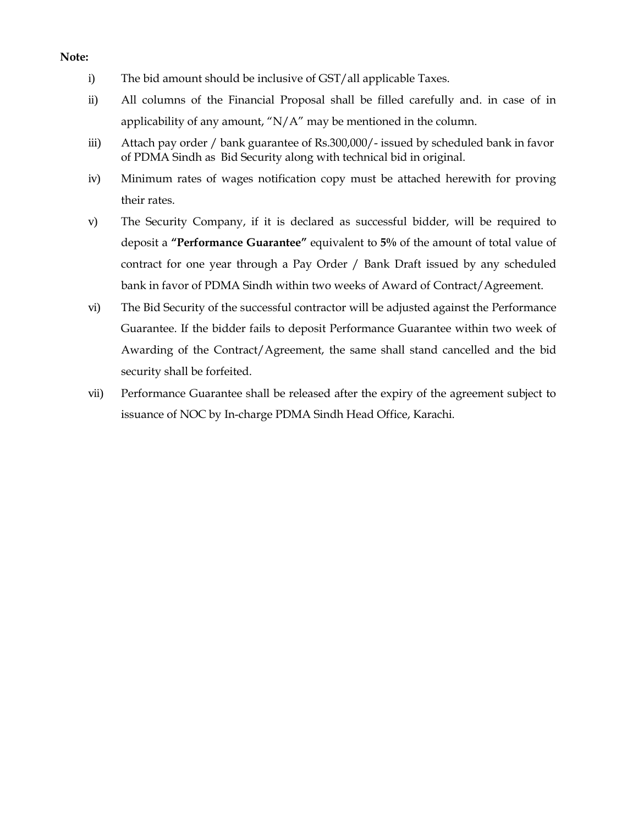#### **Note:**

- i) The bid amount should be inclusive of GST/all applicable Taxes.
- ii) All columns of the Financial Proposal shall be filled carefully and. in case of in applicability of any amount, " $N/A$ " may be mentioned in the column.
- iii) Attach pay order / bank guarantee of Rs.300,000/- issued by scheduled bank in favor of PDMA Sindh as Bid Security along with technical bid in original.
- iv) Minimum rates of wages notification copy must be attached herewith for proving their rates.
- v) The Security Company, if it is declared as successful bidder, will be required to deposit a **"Performance Guarantee"** equivalent to **5%** of the amount of total value of contract for one year through a Pay Order / Bank Draft issued by any scheduled bank in favor of PDMA Sindh within two weeks of Award of Contract/Agreement.
- vi) The Bid Security of the successful contractor will be adjusted against the Performance Guarantee. If the bidder fails to deposit Performance Guarantee within two week of Awarding of the Contract/Agreement, the same shall stand cancelled and the bid security shall be forfeited.
- vii) Performance Guarantee shall be released after the expiry of the agreement subject to issuance of NOC by In-charge PDMA Sindh Head Office, Karachi.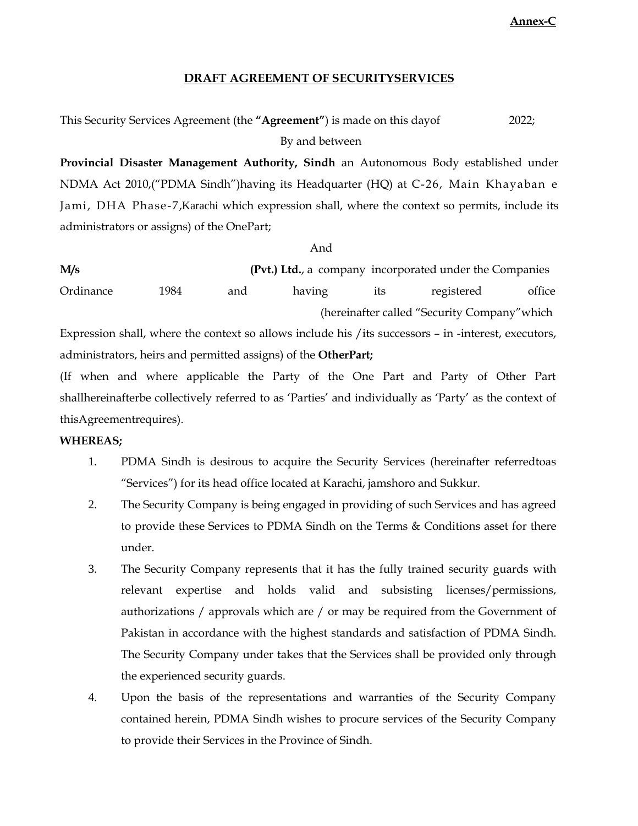**Annex-C**

### **DRAFT AGREEMENT OF SECURITYSERVICES**

#### This Security Services Agreement (the **"Agreement"**) is made on this dayof By and between 2022;

**Provincial Disaster Management Authority, Sindh** an Autonomous Body established under NDMA Act 2010,("PDMA Sindh")having its Headquarter (HQ) at C-26, Main Khayaban e Jami, DHA Phase-7,Karachi which expression shall, where the context so permits, include its administrators or assigns) of the OnePart;

And

**M/s (Pvt.) Ltd.**, a company incorporated under the Companies Ordinance 1984 and having its registered office (hereinafter called "Security Company"which

Expression shall, where the context so allows include his /its successors – in -interest, executors, administrators, heirs and permitted assigns) of the **OtherPart;**

(If when and where applicable the Party of the One Part and Party of Other Part shallhereinafterbe collectively referred to as "Parties" and individually as "Party" as the context of thisAgreementrequires).

### **WHEREAS;**

- 1. PDMA Sindh is desirous to acquire the Security Services (hereinafter referredtoas "Services") for its head office located at Karachi, jamshoro and Sukkur.
- 2. The Security Company is being engaged in providing of such Services and has agreed to provide these Services to PDMA Sindh on the Terms & Conditions asset for there under.
- 3. The Security Company represents that it has the fully trained security guards with relevant expertise and holds valid and subsisting licenses/permissions, authorizations / approvals which are / or may be required from the Government of Pakistan in accordance with the highest standards and satisfaction of PDMA Sindh. The Security Company under takes that the Services shall be provided only through the experienced security guards.
- 4. Upon the basis of the representations and warranties of the Security Company contained herein, PDMA Sindh wishes to procure services of the Security Company to provide their Services in the Province of Sindh.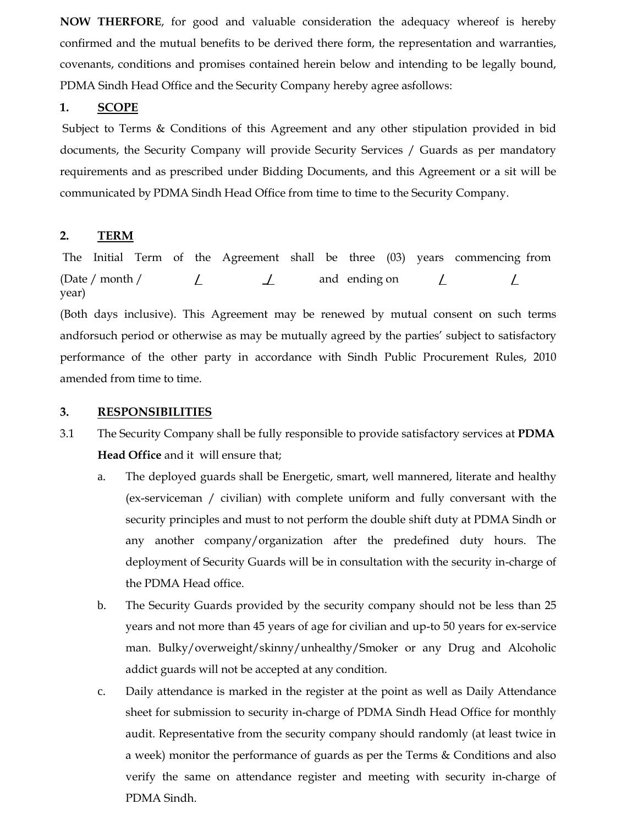**NOW THERFORE**, for good and valuable consideration the adequacy whereof is hereby confirmed and the mutual benefits to be derived there form, the representation and warranties, covenants, conditions and promises contained herein below and intending to be legally bound, PDMA Sindh Head Office and the Security Company hereby agree asfollows:

### **1. SCOPE**

Subject to Terms & Conditions of this Agreement and any other stipulation provided in bid documents, the Security Company will provide Security Services / Guards as per mandatory requirements and as prescribed under Bidding Documents, and this Agreement or a sit will be communicated by PDMA Sindh Head Office from time to time to the Security Company.

# **2. TERM**

The Initial Term of the Agreement shall be three (03) years commencing from (Date / month / year) **/ \_/** and ending on **/ /** 

(Both days inclusive). This Agreement may be renewed by mutual consent on such terms andforsuch period or otherwise as may be mutually agreed by the parties" subject to satisfactory performance of the other party in accordance with Sindh Public Procurement Rules, 2010 amended from time to time.

### **3. RESPONSIBILITIES**

- 3.1 The Security Company shall be fully responsible to provide satisfactory services at **PDMA Head Office** and it will ensure that;
	- a. The deployed guards shall be Energetic, smart, well mannered, literate and healthy (ex-serviceman / civilian) with complete uniform and fully conversant with the security principles and must to not perform the double shift duty at PDMA Sindh or any another company/organization after the predefined duty hours. The deployment of Security Guards will be in consultation with the security in-charge of the PDMA Head office.
	- b. The Security Guards provided by the security company should not be less than 25 years and not more than 45 years of age for civilian and up-to 50 years for ex-service man. Bulky/overweight/skinny/unhealthy/Smoker or any Drug and Alcoholic addict guards will not be accepted at any condition.
	- c. Daily attendance is marked in the register at the point as well as Daily Attendance sheet for submission to security in-charge of PDMA Sindh Head Office for monthly audit. Representative from the security company should randomly (at least twice in a week) monitor the performance of guards as per the Terms & Conditions and also verify the same on attendance register and meeting with security in-charge of PDMA Sindh.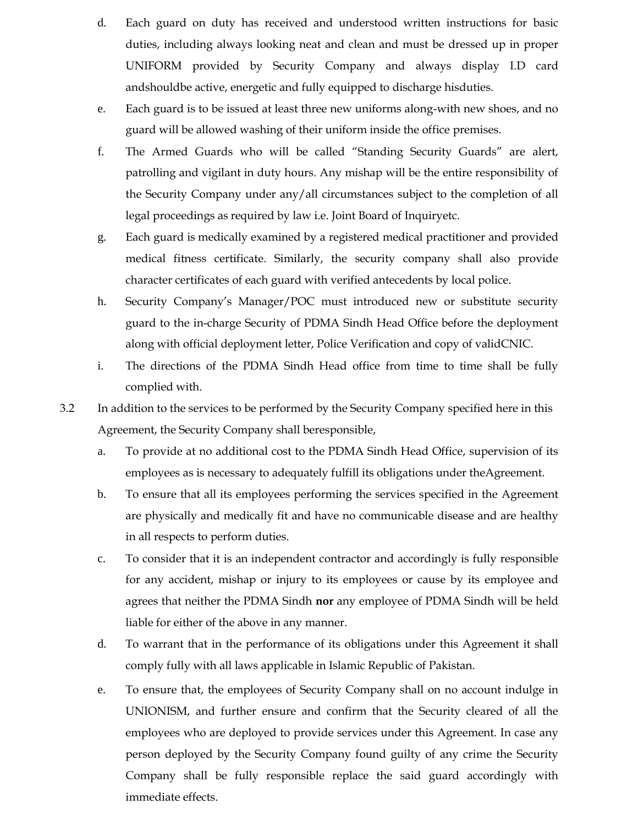- d. Each guard on duty has received and understood written instructions for basic duties, including always looking neat and clean and must be dressed up in proper UNIFORM provided by Security Company and always display I.D card andshouldbe active, energetic and fully equipped to discharge hisduties.
- e. Each guard is to be issued at least three new uniforms along-with new shoes, and no guard will be allowed washing of their uniform inside the office premises.
- f. The Armed Guards who will be called "Standing Security Guards" are alert, patrolling and vigilant in duty hours. Any mishap will be the entire responsibility of the Security Company under any/all circumstances subject to the completion of all legal proceedings as required by law i.e. Joint Board of Inquiryetc.
- g. Each guard is medically examined by a registered medical practitioner and provided medical fitness certificate. Similarly, the security company shall also provide character certificates of each guard with verified antecedents by local police.
- h. Security Company's Manager/POC must introduced new or substitute security guard to the in-charge Security of PDMA Sindh Head Office before the deployment along with official deployment letter, Police Verification and copy of validCNIC.
- i. The directions of the PDMA Sindh Head office from time to time shall be fully complied with.
- 3.2 In addition to the services to be performed by the Security Company specified here in this Agreement, the Security Company shall beresponsible,
	- a. To provide at no additional cost to the PDMA Sindh Head Office, supervision of its employees as is necessary to adequately fulfill its obligations under theAgreement.
	- b. To ensure that all its employees performing the services specified in the Agreement are physically and medically fit and have no communicable disease and are healthy in all respects to perform duties.
	- c. To consider that it is an independent contractor and accordingly is fully responsible for any accident, mishap or injury to its employees or cause by its employee and agrees that neither the PDMA Sindh **nor** any employee of PDMA Sindh will be held liable for either of the above in any manner.
	- d. To warrant that in the performance of its obligations under this Agreement it shall comply fully with all laws applicable in Islamic Republic of Pakistan.
	- e. To ensure that, the employees of Security Company shall on no account indulge in UNIONISM, and further ensure and confirm that the Security cleared of all the employees who are deployed to provide services under this Agreement. In case any person deployed by the Security Company found guilty of any crime the Security Company shall be fully responsible replace the said guard accordingly with immediate effects.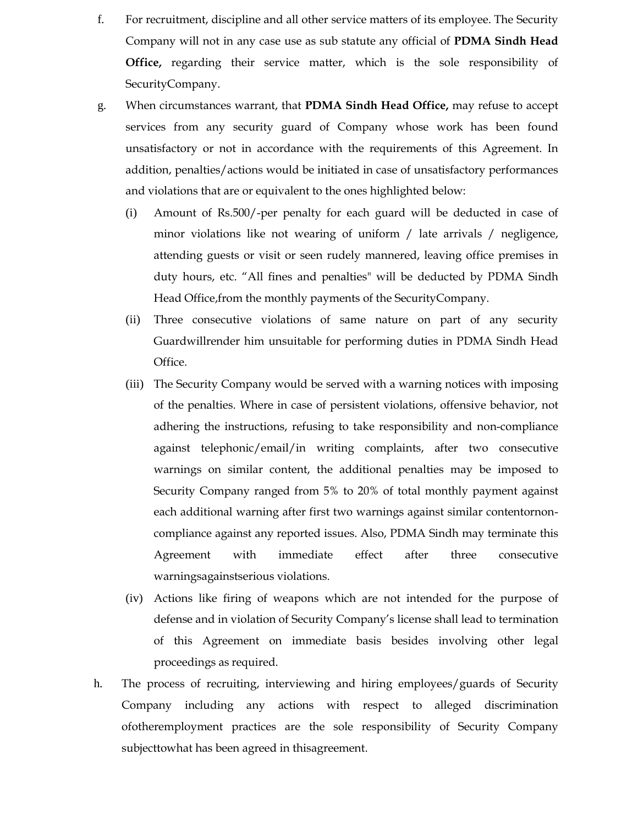- f. For recruitment, discipline and all other service matters of its employee. The Security Company will not in any case use as sub statute any official of **PDMA Sindh Head Office,** regarding their service matter, which is the sole responsibility of SecurityCompany.
- g. When circumstances warrant, that **PDMA Sindh Head Office,** may refuse to accept services from any security guard of Company whose work has been found unsatisfactory or not in accordance with the requirements of this Agreement. In addition, penalties/actions would be initiated in case of unsatisfactory performances and violations that are or equivalent to the ones highlighted below:
	- (i) Amount of Rs.500/-per penalty for each guard will be deducted in case of minor violations like not wearing of uniform / late arrivals / negligence, attending guests or visit or seen rudely mannered, leaving office premises in duty hours, etc. "All fines and penalties" will be deducted by PDMA Sindh Head Office,from the monthly payments of the SecurityCompany.
	- (ii) Three consecutive violations of same nature on part of any security Guardwillrender him unsuitable for performing duties in PDMA Sindh Head Office.
	- (iii) The Security Company would be served with a warning notices with imposing of the penalties. Where in case of persistent violations, offensive behavior, not adhering the instructions, refusing to take responsibility and non-compliance against telephonic/email/in writing complaints, after two consecutive warnings on similar content, the additional penalties may be imposed to Security Company ranged from 5% to 20% of total monthly payment against each additional warning after first two warnings against similar contentornoncompliance against any reported issues. Also, PDMA Sindh may terminate this Agreement with immediate effect after three consecutive warningsagainstserious violations.
	- (iv) Actions like firing of weapons which are not intended for the purpose of defense and in violation of Security Company"s license shall lead to termination of this Agreement on immediate basis besides involving other legal proceedings as required.
- h. The process of recruiting, interviewing and hiring employees/guards of Security Company including any actions with respect to alleged discrimination ofotheremployment practices are the sole responsibility of Security Company subjecttowhat has been agreed in thisagreement.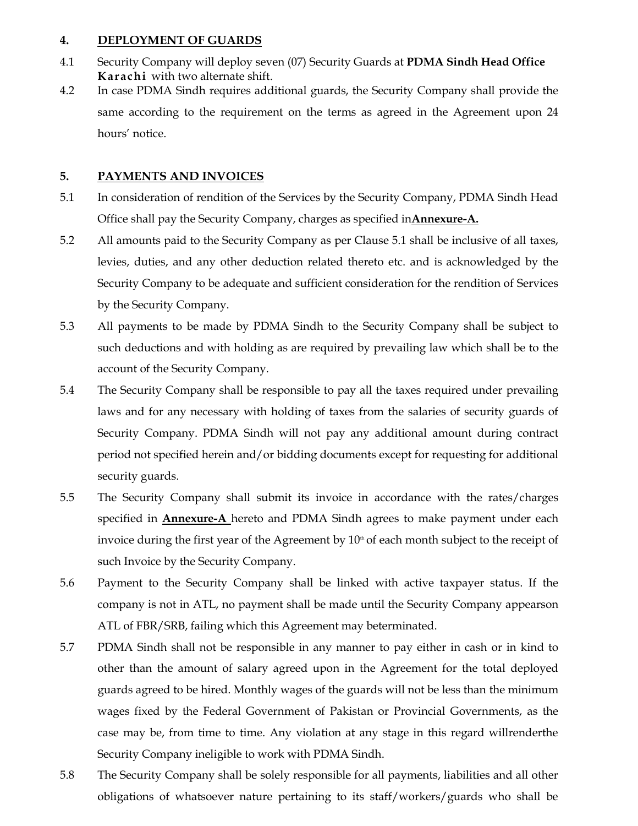### **4. DEPLOYMENT OF GUARDS**

- 4.1 Security Company will deploy seven (07) Security Guards at **PDMA Sindh Head Office Karachi** with two alternate shift.
- 4.2 In case PDMA Sindh requires additional guards, the Security Company shall provide the same according to the requirement on the terms as agreed in the Agreement upon 24 hours' notice.

# **5. PAYMENTS AND INVOICES**

- 5.1 In consideration of rendition of the Services by the Security Company, PDMA Sindh Head Office shall pay the Security Company, charges as specified in**Annexure-A.**
- 5.2 All amounts paid to the Security Company as per Clause 5.1 shall be inclusive of all taxes, levies, duties, and any other deduction related thereto etc. and is acknowledged by the Security Company to be adequate and sufficient consideration for the rendition of Services by the Security Company.
- 5.3 All payments to be made by PDMA Sindh to the Security Company shall be subject to such deductions and with holding as are required by prevailing law which shall be to the account of the Security Company.
- 5.4 The Security Company shall be responsible to pay all the taxes required under prevailing laws and for any necessary with holding of taxes from the salaries of security guards of Security Company. PDMA Sindh will not pay any additional amount during contract period not specified herein and/or bidding documents except for requesting for additional security guards.
- 5.5 The Security Company shall submit its invoice in accordance with the rates/charges specified in **Annexure-A** hereto and PDMA Sindh agrees to make payment under each invoice during the first year of the Agreement by  $10<sup>th</sup>$  of each month subject to the receipt of such Invoice by the Security Company.
- 5.6 Payment to the Security Company shall be linked with active taxpayer status. If the company is not in ATL, no payment shall be made until the Security Company appearson ATL of FBR/SRB, failing which this Agreement may beterminated.
- 5.7 PDMA Sindh shall not be responsible in any manner to pay either in cash or in kind to other than the amount of salary agreed upon in the Agreement for the total deployed guards agreed to be hired. Monthly wages of the guards will not be less than the minimum wages fixed by the Federal Government of Pakistan or Provincial Governments, as the case may be, from time to time. Any violation at any stage in this regard willrenderthe Security Company ineligible to work with PDMA Sindh.
- 5.8 The Security Company shall be solely responsible for all payments, liabilities and all other obligations of whatsoever nature pertaining to its staff/workers/guards who shall be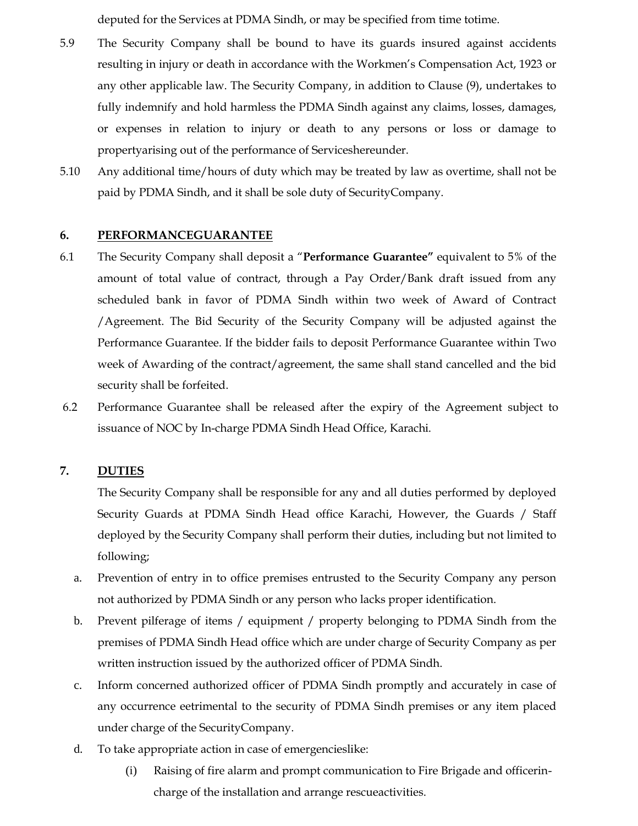deputed for the Services at PDMA Sindh, or may be specified from time totime.

- 5.9 The Security Company shall be bound to have its guards insured against accidents resulting in injury or death in accordance with the Workmen"s Compensation Act, 1923 or any other applicable law. The Security Company, in addition to Clause (9), undertakes to fully indemnify and hold harmless the PDMA Sindh against any claims, losses, damages, or expenses in relation to injury or death to any persons or loss or damage to propertyarising out of the performance of Serviceshereunder.
- 5.10 Any additional time/hours of duty which may be treated by law as overtime, shall not be paid by PDMA Sindh, and it shall be sole duty of SecurityCompany.

### **6. PERFORMANCEGUARANTEE**

- 6.1 The Security Company shall deposit a "**Performance Guarantee"** equivalent to 5% of the amount of total value of contract, through a Pay Order/Bank draft issued from any scheduled bank in favor of PDMA Sindh within two week of Award of Contract /Agreement. The Bid Security of the Security Company will be adjusted against the Performance Guarantee. If the bidder fails to deposit Performance Guarantee within Two week of Awarding of the contract/agreement, the same shall stand cancelled and the bid security shall be forfeited.
- 6.2 Performance Guarantee shall be released after the expiry of the Agreement subject to issuance of NOC by In-charge PDMA Sindh Head Office, Karachi.

## **7. DUTIES**

The Security Company shall be responsible for any and all duties performed by deployed Security Guards at PDMA Sindh Head office Karachi, However, the Guards / Staff deployed by the Security Company shall perform their duties, including but not limited to following;

- a. Prevention of entry in to office premises entrusted to the Security Company any person not authorized by PDMA Sindh or any person who lacks proper identification.
- b. Prevent pilferage of items / equipment / property belonging to PDMA Sindh from the premises of PDMA Sindh Head office which are under charge of Security Company as per written instruction issued by the authorized officer of PDMA Sindh.
- c. Inform concerned authorized officer of PDMA Sindh promptly and accurately in case of any occurrence eetrimental to the security of PDMA Sindh premises or any item placed under charge of the SecurityCompany.
- d. To take appropriate action in case of emergencieslike:
	- (i) Raising of fire alarm and prompt communication to Fire Brigade and officerincharge of the installation and arrange rescueactivities.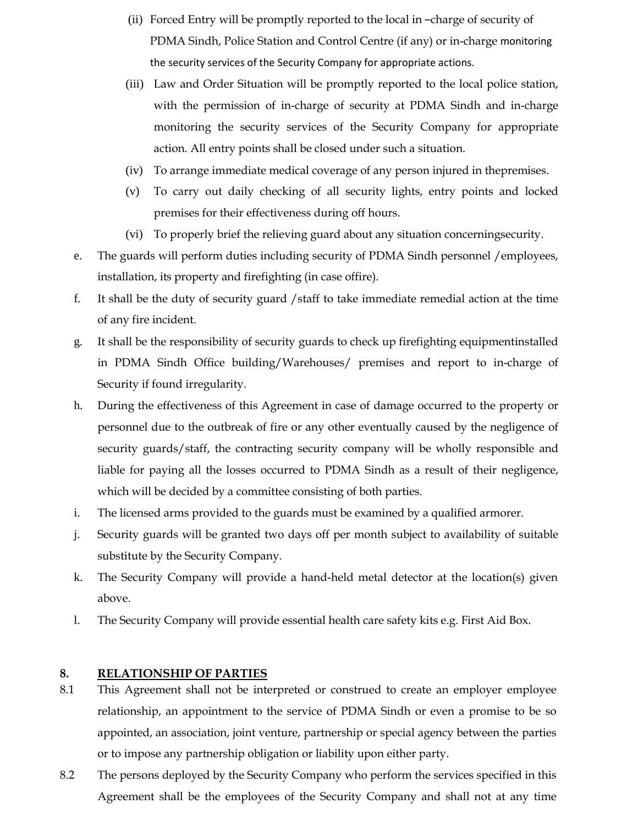- (ii) Forced Entry will be promptly reported to the local in –charge of security of PDMA Sindh, Police Station and Control Centre (if any) or in-charge monitoring the security services of the Security Company for appropriate actions.
- (iii) Law and Order Situation will be promptly reported to the local police station, with the permission of in-charge of security at PDMA Sindh and in-charge monitoring the security services of the Security Company for appropriate action. All entry points shall be closed under such a situation.
- (iv) To arrange immediate medical coverage of any person injured in thepremises.
- (v) To carry out daily checking of all security lights, entry points and locked premises for their effectiveness during off hours.
- (vi) To properly brief the relieving guard about any situation concerningsecurity.
- e. The guards will perform duties including security of PDMA Sindh personnel /employees, installation, its property and firefighting (in case offire).
- f. It shall be the duty of security guard /staff to take immediate remedial action at the time of any fire incident.
- g. It shall be the responsibility of security guards to check up firefighting equipmentinstalled in PDMA Sindh Office building/Warehouses/ premises and report to in-charge of Security if found irregularity.
- h. During the effectiveness of this Agreement in case of damage occurred to the property or personnel due to the outbreak of fire or any other eventually caused by the negligence of security guards/staff, the contracting security company will be wholly responsible and liable for paying all the losses occurred to PDMA Sindh as a result of their negligence, which will be decided by a committee consisting of both parties.
- i. The licensed arms provided to the guards must be examined by a qualified armorer.
- j. Security guards will be granted two days off per month subject to availability of suitable substitute by the Security Company.
- k. The Security Company will provide a hand-held metal detector at the location(s) given above.
- l. The Security Company will provide essential health care safety kits e.g. First Aid Box.

### **8. RELATIONSHIP OF PARTIES**

- 8.1 This Agreement shall not be interpreted or construed to create an employer employee relationship, an appointment to the service of PDMA Sindh or even a promise to be so appointed, an association, joint venture, partnership or special agency between the parties or to impose any partnership obligation or liability upon either party.
- 8.2 The persons deployed by the Security Company who perform the services specified in this Agreement shall be the employees of the Security Company and shall not at any time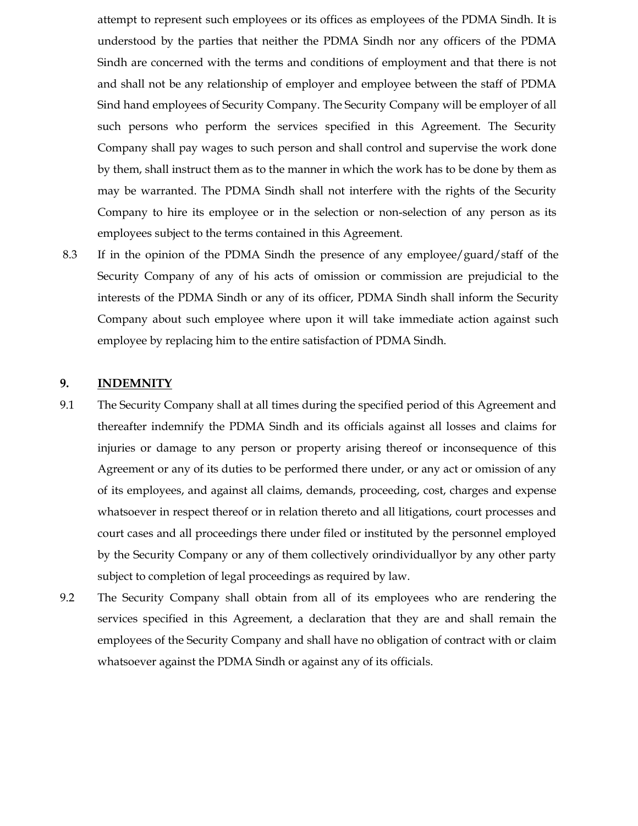attempt to represent such employees or its offices as employees of the PDMA Sindh. It is understood by the parties that neither the PDMA Sindh nor any officers of the PDMA Sindh are concerned with the terms and conditions of employment and that there is not and shall not be any relationship of employer and employee between the staff of PDMA Sind hand employees of Security Company. The Security Company will be employer of all such persons who perform the services specified in this Agreement. The Security Company shall pay wages to such person and shall control and supervise the work done by them, shall instruct them as to the manner in which the work has to be done by them as may be warranted. The PDMA Sindh shall not interfere with the rights of the Security Company to hire its employee or in the selection or non-selection of any person as its employees subject to the terms contained in this Agreement.

8.3 If in the opinion of the PDMA Sindh the presence of any employee/guard/staff of the Security Company of any of his acts of omission or commission are prejudicial to the interests of the PDMA Sindh or any of its officer, PDMA Sindh shall inform the Security Company about such employee where upon it will take immediate action against such employee by replacing him to the entire satisfaction of PDMA Sindh.

### **9. INDEMNITY**

- 9.1 The Security Company shall at all times during the specified period of this Agreement and thereafter indemnify the PDMA Sindh and its officials against all losses and claims for injuries or damage to any person or property arising thereof or inconsequence of this Agreement or any of its duties to be performed there under, or any act or omission of any of its employees, and against all claims, demands, proceeding, cost, charges and expense whatsoever in respect thereof or in relation thereto and all litigations, court processes and court cases and all proceedings there under filed or instituted by the personnel employed by the Security Company or any of them collectively orindividuallyor by any other party subject to completion of legal proceedings as required by law.
- 9.2 The Security Company shall obtain from all of its employees who are rendering the services specified in this Agreement, a declaration that they are and shall remain the employees of the Security Company and shall have no obligation of contract with or claim whatsoever against the PDMA Sindh or against any of its officials.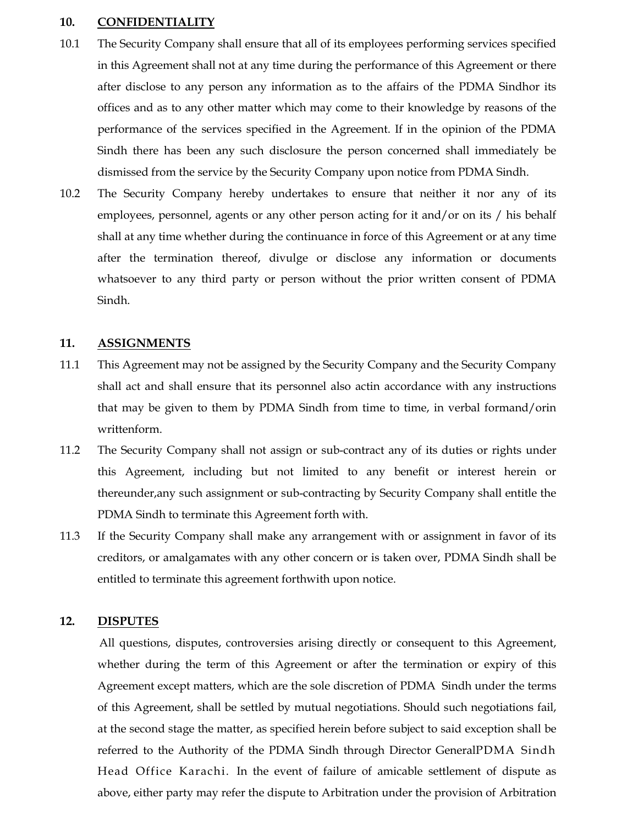#### **10. CONFIDENTIALITY**

- 10.1 The Security Company shall ensure that all of its employees performing services specified in this Agreement shall not at any time during the performance of this Agreement or there after disclose to any person any information as to the affairs of the PDMA Sindhor its offices and as to any other matter which may come to their knowledge by reasons of the performance of the services specified in the Agreement. If in the opinion of the PDMA Sindh there has been any such disclosure the person concerned shall immediately be dismissed from the service by the Security Company upon notice from PDMA Sindh.
- 10.2 The Security Company hereby undertakes to ensure that neither it nor any of its employees, personnel, agents or any other person acting for it and/or on its / his behalf shall at any time whether during the continuance in force of this Agreement or at any time after the termination thereof, divulge or disclose any information or documents whatsoever to any third party or person without the prior written consent of PDMA Sindh.

### **11. ASSIGNMENTS**

- 11.1 This Agreement may not be assigned by the Security Company and the Security Company shall act and shall ensure that its personnel also actin accordance with any instructions that may be given to them by PDMA Sindh from time to time, in verbal formand/orin writtenform.
- 11.2 The Security Company shall not assign or sub-contract any of its duties or rights under this Agreement, including but not limited to any benefit or interest herein or thereunder,any such assignment or sub-contracting by Security Company shall entitle the PDMA Sindh to terminate this Agreement forth with.
- 11.3 If the Security Company shall make any arrangement with or assignment in favor of its creditors, or amalgamates with any other concern or is taken over, PDMA Sindh shall be entitled to terminate this agreement forthwith upon notice.

### **12. DISPUTES**

All questions, disputes, controversies arising directly or consequent to this Agreement, whether during the term of this Agreement or after the termination or expiry of this Agreement except matters, which are the sole discretion of PDMA Sindh under the terms of this Agreement, shall be settled by mutual negotiations. Should such negotiations fail, at the second stage the matter, as specified herein before subject to said exception shall be referred to the Authority of the PDMA Sindh through Director GeneralPDMA Sindh Head Office Karachi. In the event of failure of amicable settlement of dispute as above, either party may refer the dispute to Arbitration under the provision of Arbitration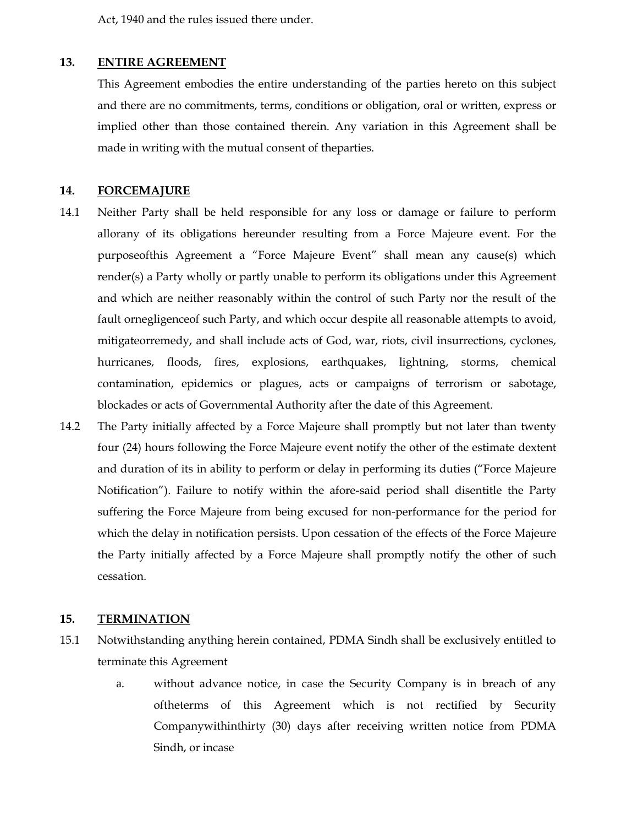Act, 1940 and the rules issued there under.

### **13. ENTIRE AGREEMENT**

This Agreement embodies the entire understanding of the parties hereto on this subject and there are no commitments, terms, conditions or obligation, oral or written, express or implied other than those contained therein. Any variation in this Agreement shall be made in writing with the mutual consent of theparties.

### **14. FORCEMAJURE**

- 14.1 Neither Party shall be held responsible for any loss or damage or failure to perform allorany of its obligations hereunder resulting from a Force Majeure event. For the purposeofthis Agreement a "Force Majeure Event" shall mean any cause(s) which render(s) a Party wholly or partly unable to perform its obligations under this Agreement and which are neither reasonably within the control of such Party nor the result of the fault ornegligenceof such Party, and which occur despite all reasonable attempts to avoid, mitigateorremedy, and shall include acts of God, war, riots, civil insurrections, cyclones, hurricanes, floods, fires, explosions, earthquakes, lightning, storms, chemical contamination, epidemics or plagues, acts or campaigns of terrorism or sabotage, blockades or acts of Governmental Authority after the date of this Agreement.
- 14.2 The Party initially affected by a Force Majeure shall promptly but not later than twenty four (24) hours following the Force Majeure event notify the other of the estimate dextent and duration of its in ability to perform or delay in performing its duties ("Force Majeure Notification"). Failure to notify within the afore-said period shall disentitle the Party suffering the Force Majeure from being excused for non-performance for the period for which the delay in notification persists. Upon cessation of the effects of the Force Majeure the Party initially affected by a Force Majeure shall promptly notify the other of such cessation.

### **15. TERMINATION**

- 15.1 Notwithstanding anything herein contained, PDMA Sindh shall be exclusively entitled to terminate this Agreement
	- a. without advance notice, in case the Security Company is in breach of any oftheterms of this Agreement which is not rectified by Security Companywithinthirty (30) days after receiving written notice from PDMA Sindh, or incase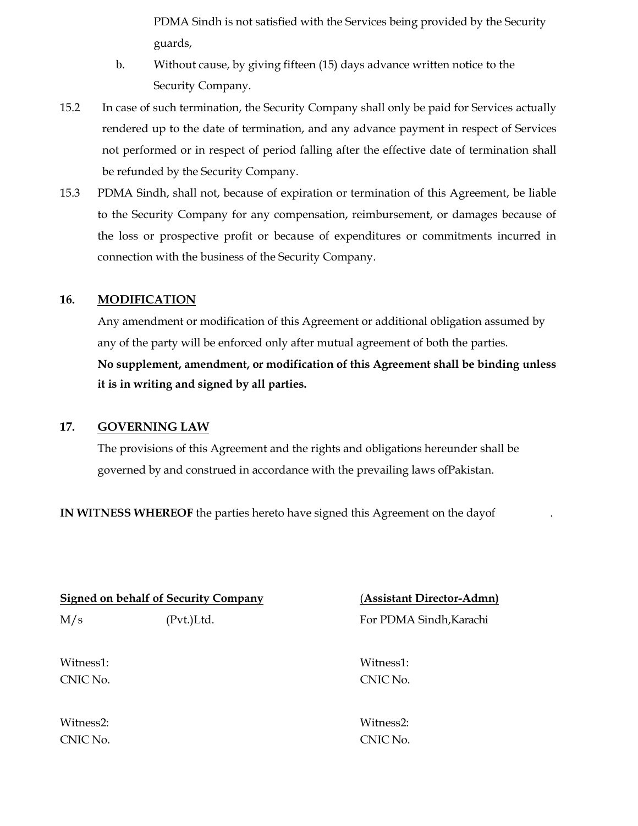PDMA Sindh is not satisfied with the Services being provided by the Security guards,

- b. Without cause, by giving fifteen (15) days advance written notice to the Security Company.
- 15.2 In case of such termination, the Security Company shall only be paid for Services actually rendered up to the date of termination, and any advance payment in respect of Services not performed or in respect of period falling after the effective date of termination shall be refunded by the Security Company.
- 15.3 PDMA Sindh, shall not, because of expiration or termination of this Agreement, be liable to the Security Company for any compensation, reimbursement, or damages because of the loss or prospective profit or because of expenditures or commitments incurred in connection with the business of the Security Company.

### **16. MODIFICATION**

Any amendment or modification of this Agreement or additional obligation assumed by any of the party will be enforced only after mutual agreement of both the parties. **No supplement, amendment, or modification of this Agreement shall be binding unless it is in writing and signed by all parties.**

### **17. GOVERNING LAW**

The provisions of this Agreement and the rights and obligations hereunder shall be governed by and construed in accordance with the prevailing laws ofPakistan.

**IN WITNESS WHEREOF** the parties hereto have signed this Agreement on the dayof .

|           | <b>Signed on behalf of Security Company</b> | (Assistant Director-Admn) |
|-----------|---------------------------------------------|---------------------------|
| M/s       | (Pvt.)Ltd.                                  | For PDMA Sindh, Karachi   |
| Witness1: |                                             | Witness1:                 |
| CNIC No.  |                                             | CNIC No.                  |
| Witness2: |                                             | Witness2:                 |
| CNIC No.  |                                             | CNIC No.                  |